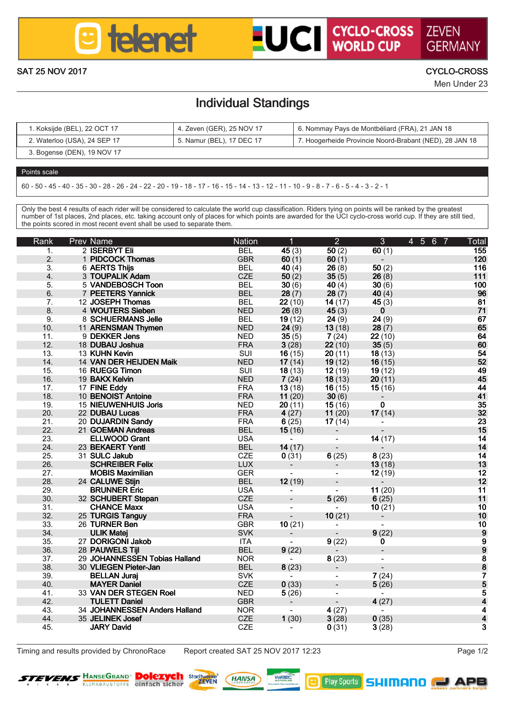

# **LUCI CYCLO-CROSS ZEVEN**

GERMAN SAT 25 NOV 2017 CYCLO-CROSS

Men Under 23

### Individual Standings

| Kokside (BEL), 22 OCT 17     | 4. Zeven (GER), 25 NOV 17 | 6. Nommay Pays de Montbéliard (FRA), 21 JAN 18          |
|------------------------------|---------------------------|---------------------------------------------------------|
| 2. Waterloo (USA), 24 SEP 17 | 5. Namur (BEL), 17 DEC 17 | 7. Hooperheide Provincie Noord-Brabant (NED), 28 JAN 18 |
| 3. Bogense (DEN), 19 NOV 17  |                           |                                                         |

#### Points scale

60 - 50 - 45 - 40 - 35 - 30 - 28 - 26 - 24 - 22 - 20 - 19 - 18 - 17 - 16 - 15 - 14 - 13 - 12 - 11 - 10 - 9 - 8 - 7 - 6 - 5 - 4 - 3 - 2 - 1

Only the best 4 results of each rider will be considered to calculate the world cup classification. Riders tying on points will be ranked by the greatest<br>number of 1st places, 2nd places, etc. taking account only of places the points scored in most recent event shall be used to separate them.

| Rank            | Prev Name                              | Nation                   | т                | $\overline{2}$   | $\overline{\mathbf{3}}$ | 4567<br>Total  |
|-----------------|----------------------------------------|--------------------------|------------------|------------------|-------------------------|----------------|
| Ŧ.              | 2 BERRYT FL                            | <b>RFI</b>               | 45 (3)           | 60 (2)           | 60 (1)                  | 155            |
| 2.              | 1 PIDCOCK Thomas                       | GRR                      | 60 (1)           | 60 (1)           | $\sim$                  | 120            |
| 3.              | 6 AERTS This                           | <b>BEL</b>               | 40(4)            | 26(8)            | 50 (2)                  | 116            |
| $\overline{a}$  | 3 TOUPALIK Adam                        | CZE                      | 50(2)            | 35(5)            | 26(8)                   | 111            |
| K.              | 5 VANDEROSCH Toon                      | <b>RFI</b>               | 30 (6)           | 40(4)            | 30 (6)                  | 100            |
| 6.              | 7 PEETERS Yannick                      | <b>BEL</b>               | 28(7)            | 28(7)            | 40(4)                   | 96             |
| 7.              | 12 JOSEPH Thrmas                       | <b>RFI</b>               | 22 (10)          | 14 (17)          | 45 (3)                  | 81             |
| $\mathbf{R}$    | 4 WOUTERS Sleben                       | <b>NED</b>               | 26(8)            | 45(3)            | $\bullet$               | $\overline{1}$ |
| $\overline{a}$  | <b>8 SCHUFRMANS John</b>               | <b>BEL</b>               | 19(12)           | 24(9)            | 24(9)                   | R7             |
| 10 <sub>1</sub> | 11 ARENSMAN Thymen                     | <b>NFD</b>               | 24(9)            | 13 (18)          | 28 (7)                  | 65             |
| 11.             | 9 DEKKER Jens                          | <b>NED</b>               | 35(5)            | 7(24)            | 22 (10)                 | 64             |
| 12.             | 18 DUBAU Joshua                        | <b>FRA</b>               | 3(28)            | 22 (10)          | 35(5)                   | 60             |
| $13-12$         | 13 KI IHN Kevin                        | SHIL                     | 16(15)           | 20(11)           | 18 (13)                 | 54             |
| 14.             | 14 VAN DER HEIJDEN Malk                | <b>NED</b>               | 17(14)           | 19 (12)          | 16(15)                  | 52             |
| 15.             | 16 RUEGG Timon                         | SUI                      | 18(13)           | 12 (19)          | 19 (12)                 | 49             |
| 16              | 19 RAKY Kelvin                         | <b>NED</b>               | 7(24)            | 18 (13)          | 20 (11)                 | 46             |
| 17<br>18        | 17 FINE Eddy                           | <b>FRA</b>               | 13(18)           | 16(15)           | 15(16)                  | AÁ.            |
|                 | 10 REMOUST Antoine                     | <b>FRA</b>               | 11 (20)          | 30(6)            | ×,                      | 41             |
| 19              | 15 NIEUWENHUIS Joris                   | NFD.                     | 20(11)           | 15(16)           | $\blacksquare$          | 35<br>52       |
| 20.             | 22 DUBAU Luces                         | <b>FRA</b>               | 4(27)            | 11 (20)          | 17(14)                  |                |
| 21.<br>22.      | 20 DUJARDIN Sandy<br>21 GOEMAN Andreas | <b>FRA</b><br><b>BEL</b> | 6(25)<br>15(16)  | 17(14)<br>$\sim$ | ÷.<br>ä,                | 23<br>īš       |
|                 |                                        |                          |                  |                  |                         |                |
| 23.<br>24.      | ELLWOOD Grant                          | <b>USA</b><br><b>RFI</b> | A.               |                  | 14 (17)                 | 14             |
| 25.             | 23 BEKAERT Yend<br>31 SULC Jakeb       | CZE                      | 14 (17)<br>0(31) | $\sim$<br>6(25)  | $\sim$<br>8(23)         | 14<br>14       |
| 26              | <b>SCHREIBER Felly</b>                 | <b>LUX</b>               | a.               | ÷                | 13(18)                  | 13             |
| 27              | <b>MORIS Movimilion</b>                | GER                      | a.               |                  | 12 (19)                 | 12             |
| 28.             | 24 CALUME Stiin                        | <b>BEL</b>               | 12(19)           | ä,               | $\sim$                  | 12             |
| 29.             | <b>BRUNNER Frie</b>                    | <b>USA</b>               | ÷.               | ÷.               | 11 (20)                 | 11             |
| 30 <sub>1</sub> | 32 SCHUBERT Stepen                     | CZE                      | L.               | 5(26)            | 6(25)                   | 11             |
| 31.             | <b>CHANCE Mapx</b>                     | <b>USA</b>               | ×,               | $\sim$           | 10(21)                  | 10             |
| 32.             | 25 TURGIS Tanguy                       | <b>FRA</b>               | ä.               | 10(21)           | ×.                      | 10             |
| 33.             | 26 TURNER Ben                          | GBR                      | 10(21)           | ÷.               | ÷.                      | 10             |
| 34.             | <b>ULIK Matei</b>                      | <b>SVK</b>               | ٠                | $\sim$           | 9(22)                   | ō              |
| 35              | 27 DORIGONI Jakob                      | ITA.                     | ÷.               | 9(22)            | 'n.                     |                |
| 36.             | 28 PAUMELS TH                          | <b>BEL</b>               | 9(22)            | $\sim$           | ٠                       |                |
| 37.             | 29 JOHANNESSEN Tobias Halland          | <b>NOR</b>               | ÷.               | 8(23)            | ÷                       |                |
| 38              | 30 VLIEGEN Plater, lan                 | <b>BEL</b>               | 8(23)            | $\overline{a}$   | ×,                      | 998875544      |
| 39.             | <b>BELLAN Jural</b>                    | SWK                      | . .              | ٠                | 7(24)                   |                |
| 40.             | <b>MAYER Daniel</b>                    | CZE                      | 0(33)            |                  | 5(26)                   |                |
| 41.             | 33 VAN DER STEGEN Rool                 | <b>NED</b>               | 5(26)            | ٠                | ÷.                      |                |
| 42.             | <b>TIJI FTT Daniel</b>                 | GBR                      | $\sim$           | $\mathbf{r}$     | 4(27)                   |                |
| 43              | 34 JOHANNESSEN Anders Halland          | NOR.                     | a.               | 4 (27)           | ÷.                      |                |
| 44.             | 35 JFI INFK Josef                      | CZE                      | 1(30)            | 3(28)            | 0(35)                   | Â.             |
| 45              | <b>JARY David</b>                      | CZE                      | ×.               | 0(31)            | 3(28)                   | ŝ              |

Timing and results provided by ChronoRace Report created SAT 25 NOV 2017 12:23 Page 1/2